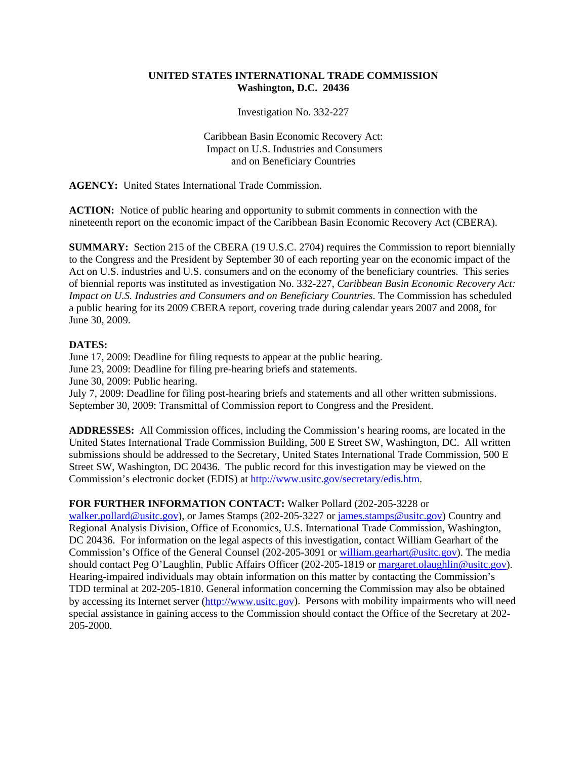## **UNITED STATES INTERNATIONAL TRADE COMMISSION Washington, D.C. 20436**

Investigation No. 332-227

Caribbean Basin Economic Recovery Act: Impact on U.S. Industries and Consumers and on Beneficiary Countries

**AGENCY:** United States International Trade Commission.

**ACTION:** Notice of public hearing and opportunity to submit comments in connection with the nineteenth report on the economic impact of the Caribbean Basin Economic Recovery Act (CBERA).

**SUMMARY:** Section 215 of the CBERA (19 U.S.C. 2704) requires the Commission to report biennially to the Congress and the President by September 30 of each reporting year on the economic impact of the Act on U.S. industries and U.S. consumers and on the economy of the beneficiary countries. This series of biennial reports was instituted as investigation No. 332-227, *Caribbean Basin Economic Recovery Act: Impact on U.S. Industries and Consumers and on Beneficiary Countries*. The Commission has scheduled a public hearing for its 2009 CBERA report, covering trade during calendar years 2007 and 2008, for June 30, 2009.

## **DATES:**

June 17, 2009: Deadline for filing requests to appear at the public hearing. June 23, 2009: Deadline for filing pre-hearing briefs and statements. June 30, 2009: Public hearing. July 7, 2009: Deadline for filing post-hearing briefs and statements and all other written submissions. September 30, 2009: Transmittal of Commission report to Congress and the President.

**ADDRESSES:** All Commission offices, including the Commission's hearing rooms, are located in the United States International Trade Commission Building, 500 E Street SW, Washington, DC. All written submissions should be addressed to the Secretary, United States International Trade Commission, 500 E Street SW, Washington, DC 20436. The public record for this investigation may be viewed on the Commission's electronic docket (EDIS) at http://www.usitc.gov/secretary/edis.htm.

## **FOR FURTHER INFORMATION CONTACT:** Walker Pollard (202-205-3228 or

walker.pollard@usitc.gov), or James Stamps (202-205-3227 or james.stamps@usitc.gov) Country and Regional Analysis Division, Office of Economics, U.S. International Trade Commission, Washington, DC 20436. For information on the legal aspects of this investigation, contact William Gearhart of the Commission's Office of the General Counsel (202-205-3091 or william.gearhart@usitc.gov). The media should contact Peg O'Laughlin, Public Affairs Officer (202-205-1819 or margaret.olaughlin@usitc.gov). Hearing-impaired individuals may obtain information on this matter by contacting the Commission's TDD terminal at 202-205-1810. General information concerning the Commission may also be obtained by accessing its Internet server (http://www.usitc.gov). Persons with mobility impairments who will need special assistance in gaining access to the Commission should contact the Office of the Secretary at 202- 205-2000.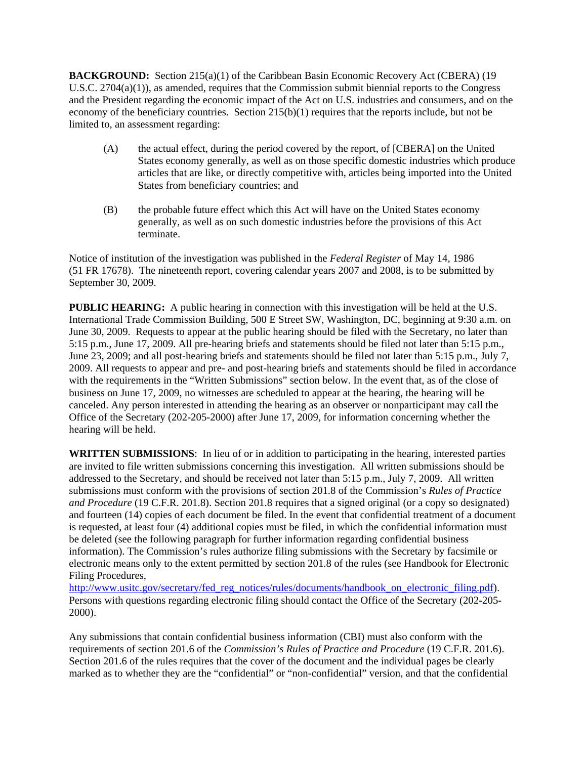**BACKGROUND:** Section 215(a)(1) of the Caribbean Basin Economic Recovery Act (CBERA) (19 U.S.C. 2704(a)(1)), as amended, requires that the Commission submit biennial reports to the Congress and the President regarding the economic impact of the Act on U.S. industries and consumers, and on the economy of the beneficiary countries. Section 215(b)(1) requires that the reports include, but not be limited to, an assessment regarding:

- (A) the actual effect, during the period covered by the report, of [CBERA] on the United States economy generally, as well as on those specific domestic industries which produce articles that are like, or directly competitive with, articles being imported into the United States from beneficiary countries; and
- (B) the probable future effect which this Act will have on the United States economy generally, as well as on such domestic industries before the provisions of this Act terminate.

Notice of institution of the investigation was published in the *Federal Register* of May 14, 1986 (51 FR 17678). The nineteenth report, covering calendar years 2007 and 2008, is to be submitted by September 30, 2009.

**PUBLIC HEARING:** A public hearing in connection with this investigation will be held at the U.S. International Trade Commission Building, 500 E Street SW, Washington, DC, beginning at 9:30 a.m. on June 30, 2009. Requests to appear at the public hearing should be filed with the Secretary, no later than 5:15 p.m., June 17, 2009. All pre-hearing briefs and statements should be filed not later than 5:15 p.m., June 23, 2009; and all post-hearing briefs and statements should be filed not later than 5:15 p.m., July 7, 2009. All requests to appear and pre- and post-hearing briefs and statements should be filed in accordance with the requirements in the "Written Submissions" section below. In the event that, as of the close of business on June 17, 2009, no witnesses are scheduled to appear at the hearing, the hearing will be canceled. Any person interested in attending the hearing as an observer or nonparticipant may call the Office of the Secretary (202-205-2000) after June 17, 2009, for information concerning whether the hearing will be held.

**WRITTEN SUBMISSIONS**: In lieu of or in addition to participating in the hearing, interested parties are invited to file written submissions concerning this investigation. All written submissions should be addressed to the Secretary, and should be received not later than 5:15 p.m., July 7, 2009. All written submissions must conform with the provisions of section 201.8 of the Commission's *Rules of Practice and Procedure* (19 C.F.R. 201.8). Section 201.8 requires that a signed original (or a copy so designated) and fourteen (14) copies of each document be filed. In the event that confidential treatment of a document is requested, at least four (4) additional copies must be filed, in which the confidential information must be deleted (see the following paragraph for further information regarding confidential business information). The Commission's rules authorize filing submissions with the Secretary by facsimile or electronic means only to the extent permitted by section 201.8 of the rules (see Handbook for Electronic Filing Procedures,

http://www.usitc.gov/secretary/fed\_reg\_notices/rules/documents/handbook\_on\_electronic\_filing.pdf). Persons with questions regarding electronic filing should contact the Office of the Secretary (202-205- 2000).

Any submissions that contain confidential business information (CBI) must also conform with the requirements of section 201.6 of the *Commission's Rules of Practice and Procedure* (19 C.F.R. 201.6). Section 201.6 of the rules requires that the cover of the document and the individual pages be clearly marked as to whether they are the "confidential" or "non-confidential" version, and that the confidential